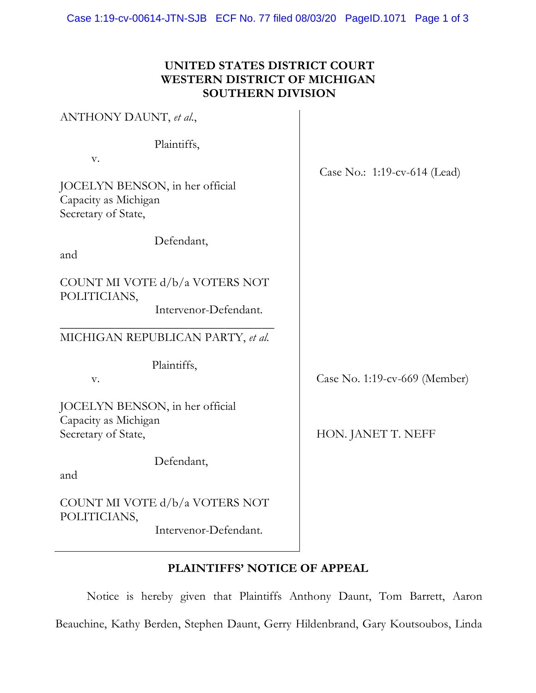#### **UNITED STATES DISTRICT COURT WESTERN DISTRICT OF MICHIGAN SOUTHERN DIVISION**

| ANTHONY DAUNT, et al.,                                                                              |                               |
|-----------------------------------------------------------------------------------------------------|-------------------------------|
| Plaintiffs,<br>V.<br>JOCELYN BENSON, in her official<br>Capacity as Michigan<br>Secretary of State, | Case No.: 1:19-cv-614 (Lead)  |
| Defendant,<br>and                                                                                   |                               |
| COUNT MI VOTE d/b/a VOTERS NOT<br>POLITICIANS,<br>Intervenor-Defendant.                             |                               |
| MICHIGAN REPUBLICAN PARTY, et al.                                                                   |                               |
| Plaintiffs,<br>V.                                                                                   | Case No. 1:19-cv-669 (Member) |
| JOCELYN BENSON, in her official<br>Capacity as Michigan<br>Secretary of State,                      | HON. JANET T. NEFF            |
| Defendant,<br>and                                                                                   |                               |
| COUNT MI VOTE d/b/a VOTERS NOT<br>POLITICIANS,<br>Intervenor-Defendant.                             |                               |

# **PLAINTIFFS' NOTICE OF APPEAL**

Notice is hereby given that Plaintiffs Anthony Daunt, Tom Barrett, Aaron Beauchine, Kathy Berden, Stephen Daunt, Gerry Hildenbrand, Gary Koutsoubos, Linda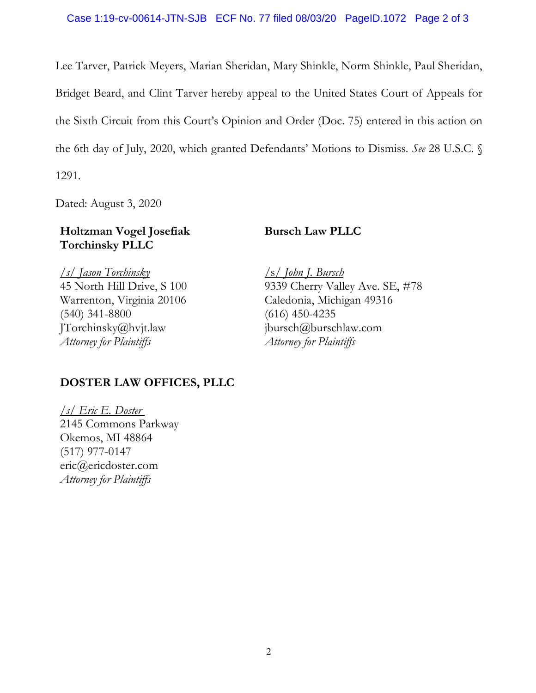Lee Tarver, Patrick Meyers, Marian Sheridan, Mary Shinkle, Norm Shinkle, Paul Sheridan, Bridget Beard, and Clint Tarver hereby appeal to the United States Court of Appeals for the Sixth Circuit from this Court's Opinion and Order (Doc. 75) entered in this action on the 6th day of July, 2020, which granted Defendants' Motions to Dismiss. *See* 28 U.S.C. § 1291.

Dated: August 3, 2020

#### **Holtzman Vogel Josefiak Torchinsky PLLC**

## **Bursch Law PLLC**

*/s/ Jason Torchinsky* 45 North Hill Drive, S 100 Warrenton, Virginia 20106 (540) 341-8800 JTorchinsky@hvjt.law *Attorney for Plaintiffs*

/s/ *John J. Bursch* 9339 Cherry Valley Ave. SE, #78 Caledonia, Michigan 49316 (616) 450-4235 jbursch@burschlaw.com *Attorney for Plaintiffs*

## **DOSTER LAW OFFICES, PLLC**

*/s/ Eric E. Doster* 2145 Commons Parkway Okemos, MI 48864 (517) 977-0147 eric@ericdoster.com *Attorney for Plaintiffs*